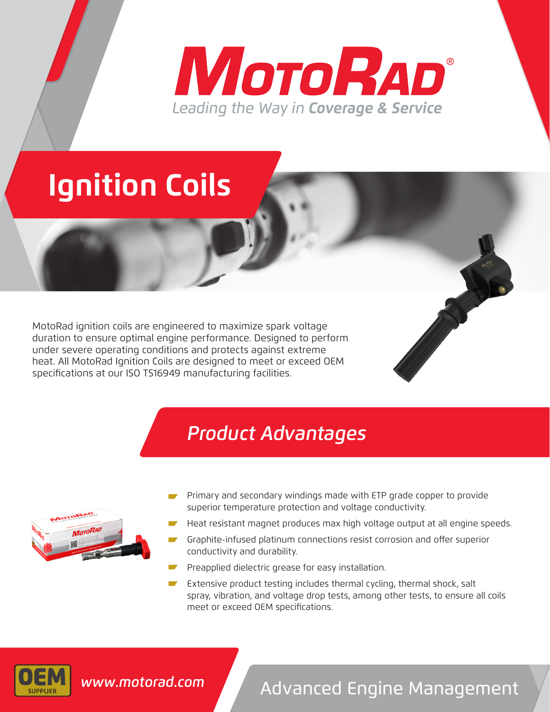# MOTORAD® Leading the Way in Coverage & Service

# **Ignition Coils**

MotoRad ignition coils are engineered to maximize spark voltage duration to ensure optimal engine performance. Designed to perform under severe operating conditions and protects against extreme heat. All MotoRad Ignition Coils are designed to meet or exceed OEM specifications at our ISO TS16949 manufacturing facilities.

### *Product Advantages*



- Primary and secondary windings made with ETP grade copper to provide superior temperature protection and voltage conductivity.
- Heat resistant magnet produces max high voltage output at all engine speeds.
- Graphite-infused platinum connections resist corrosion and offer superior conductivity and durability.
- Preapplied dielectric grease for easy installation.
- Extensive product testing includes thermal cycling, thermal shock, salt spray, vibration, and voltage drop tests, among other tests, to ensure all coils meet or exceed OEM specifications.



# Advanced Engine Management *www.motorad.com*